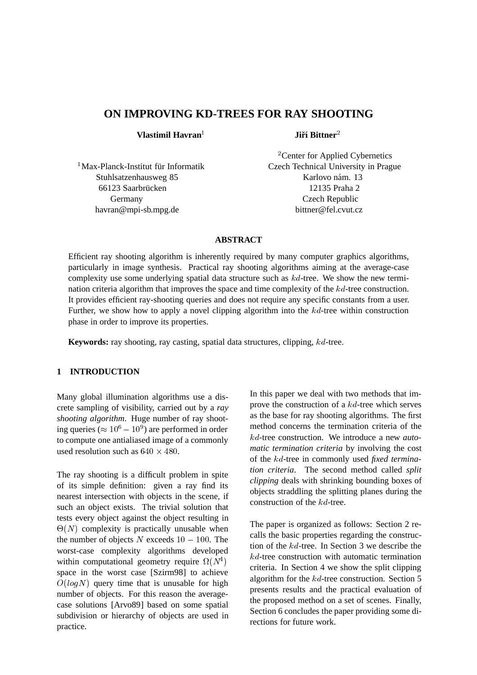# **ON IMPROVING KD-TREES FOR RAY SHOOTING**

**Vlastimil Havran**<sup>1</sup>

**Jiří** Bittner<sup>2</sup>

Stuhlsatzenhausweg 85 Karlovo nám. 13 66123 Saarbrücken 12135 Praha 2 Germany Czech Republic havran@mpi-sb.mpg.de bittner@fel.cvut.cz

<sup>2</sup> Center for Applied Cybernetics <sup>1</sup>Max-Planck-Institut für Informatik Czech Technical University in Prague

## **ABSTRACT**

Efficient ray shooting algorithm is inherently required by many computer graphics algorithms, particularly in image synthesis. Practical ray shooting algorithms aiming at the average-case complexity use some underlying spatial data structure such as  $kd$ -tree. We show the new termination criteria algorithm that improves the space and time complexity of the  $kd$ -tree construction. It provides efficient ray-shooting queries and does not require any specific constants from a user. Further, we show how to apply a novel clipping algorithm into the  $kd$ -tree within construction phase in order to improve its properties.

**Keywords:** ray shooting, ray casting, spatial data structures, clipping, kd-tree.

## **1 INTRODUCTION**

Many global illumination algorithms use a discrete sampling of visibility, carried out by a *ray shooting algorithm*. Huge number of ray shooting queries ( $\approx 10^6 - 10^9$ ) are performed in order to compute one antialiased image of a commonly used resolution such as  $640 \times 480$ .

The ray shooting is a difficult problem in spite of its simple definition: given a ray find its nearest intersection with objects in the scene, if such an object exists. The trivial solution that tests every object against the object resulting in  $\Theta(N)$  complexity is practically unusable when the number of objects  $N$  exceeds  $10 - 100$ . The worst-case complexity algorithms developed within computational geometry require  $\Omega(N^4)$ space in the worst case [Szirm98] to achieve  $O(logN)$  query time that is unusable for high number of objects. For this reason the averagecase solutions [Arvo89] based on some spatial subdivision or hierarchy of objects are used in practice.

In this paper we deal with two methods that improve the construction of a kd-tree which serves as the base for ray shooting algorithms. The first method concerns the termination criteria of the kd-tree construction. We introduce a new *automatic termination criteria* by involving the cost of the kd-tree in commonly used *fixed termination criteria*. The second method called *split clipping* deals with shrinking bounding boxes of objects straddling the splitting planes during the construction of the kd-tree.

 criteria. In Section 4 we show the split clipping The paper is organized as follows: Section 2 recalls the basic properties regarding the construction of the kd-tree. In Section 3 we describe the  $kd$ -tree construction with automatic termination algorithm for the  $kd$ -tree construction. Section 5 presents results and the practical evaluation of the proposed method on a set of scenes. Finally, Section 6 concludes the paper providing some directions for future work.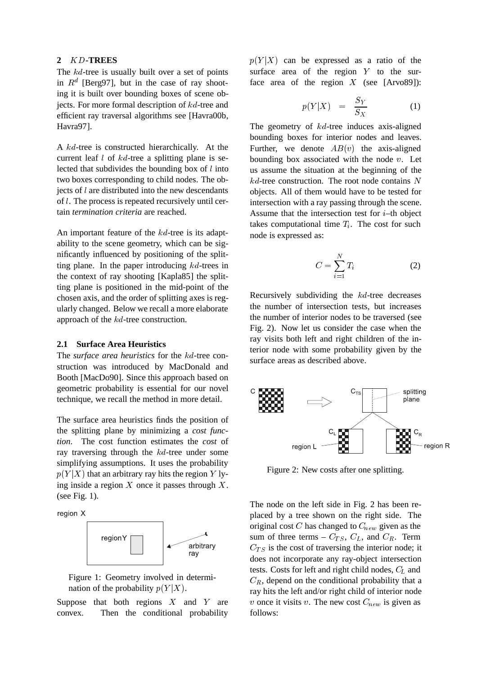## **2** KD**-TREES**

The kd-tree is usually built over a set of points in  $R^d$  [Berg97], but in the case of ray shooting it is built over bounding boxes of scene objects. For more formal description of kd-tree and efficient ray traversal algorithms see [Havra00b, Havra97].

A kd-tree is constructed hierarchically. At the current leaf  $l$  of  $kd$ -tree a splitting plane is selected that subdivides the bounding box of  $l$  into two boxes corresponding to child nodes. The objects of l are distributed into the new descendants of l. The process is repeated recursively until certain *termination criteria* are reached.

An important feature of the kd-tree is its adaptability to the scene geometry, which can be significantly influenced by positioning of the splitting plane. In the paper introducing kd-trees in the context of ray shooting [Kapla85] the splitting plane is positioned in the mid-point of the chosen axis, and the order of splitting axes is regularly changed. Below we recall a more elaborate approach of the kd-tree construction.

## **2.1 Surface Area Heuristics**

The *surface area heuristics* for the kd-tree construction was introduced by MacDonald and Booth [MacDo90]. Since this approach based on geometric probability is essential for our novel technique, we recall the method in more detail.

The surface area heuristics finds the position of the splitting plane by minimizing a *cost function*. The cost function estimates the *cost* of ray traversing through the kd-tree under some simplifying assumptions. It uses the probability  $p(Y|X)$  that an arbitrary ray hits the region Y lying inside a region  $X$  once it passes through  $X$ . (see Fig. 1).

region X



Figure 1: Geometry involved in determination of the probability  $p(Y|X)$ .

Suppose that both regions  $X$  and  $Y$  are convex. Then the conditional probability  $p(Y|X)$  can be expressed as a ratio of the surface area of the region  $Y$  to the surface area of the region  $X$  (see [Arvo89]):

$$
p(Y|X) = \frac{S_Y}{S_X} \tag{1}
$$

The geometry of  $kd$ -tree induces axis-aligned bounding boxes for interior nodes and leaves. Further, we denote  $AB(v)$  the axis-aligned bounding box associated with the node  $v$ . Let us assume the situation at the beginning of the  $kd$ -tree construction. The root node contains N objects. All of them would have to be tested for intersection with a ray passing through the scene. Assume that the intersection test for  $i$ –th object takes computational time  $T_i$ . The cost for such node is expressed as:

$$
C = \sum_{i=1}^{N} T_i
$$
 (2)

Recursively subdividing the kd-tree decreases the number of intersection tests, but increases the number of interior nodes to be traversed (see Fig. 2). Now let us consider the case when the ray visits both left and right children of the interior node with some probability given by the surface areas as described above.



Figure 2: New costs after one splitting.

The node on the left side in Fig. 2 has been replaced by a tree shown on the right side. The original cost  $C$  has changed to  $C_{new}$  given as the sum of three terms –  $C_{TS}$ ,  $C_L$ , and  $C_R$ . Term  $C_{TS}$  is the cost of traversing the interior node; it does not incorporate any ray-object intersection tests. Costs for left and right child nodes,  $C_L$  and  $C_R$ , depend on the conditional probability that a ray hits the left and/or right child of interior node v once it visits v. The new cost  $C_{new}$  is given as follows: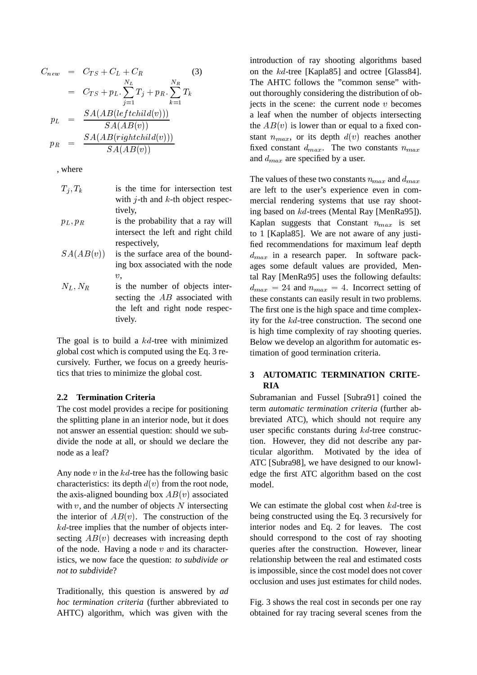$$
C_{new} = C_{TS} + C_L + C_R
$$
\n
$$
= C_{TS} + p_L \cdot \sum_{j=1}^{N_L} T_j + p_R \cdot \sum_{k=1}^{N_R} T_k
$$
\n
$$
p_L = \frac{SA(AB(leftchild(v)))}{SA(AB(v))}
$$
\n
$$
p_R = \frac{SA(AB(rightchild(v)))}{SA(AB(v))}
$$

, where

- $T_i, T_k$  is the time for intersection test with  $i$ -th and  $k$ -th object respectively,
- $p_L, p_R$  is the probability that a ray will intersect the left and right child respectively,
- $SA(AB(v))$  is the surface area of the bounding box associated with the node  $\overline{v}$ ,
- $N_L$ ,  $N_R$  is the number of objects intersecting the AB associated with the left and right node respectively.

The goal is to build a  $kd$ -tree with minimized *g*lobal cost which is computed using the Eq. 3 recursively. Further, we focus on a greedy heuristics that tries to minimize the global cost.

## **2.2 Termination Criteria**

The cost model provides a recipe for positioning the splitting plane in an interior node, but it does not answer an essential question: should we subdivide the node at all, or should we declare the node as a leaf?

Any node  $v$  in the  $kd$ -tree has the following basic characteristics: its depth  $d(v)$  from the root node, the axis-aligned bounding box  $AB(v)$  associated with  $v$ , and the number of objects  $N$  intersecting the interior of  $AB(v)$ . The construction of the  $kd$ -tree implies that the number of objects intersecting  $AB(v)$  decreases with increasing depth of the node. Having a node  $v$  and its characteristics, we now face the question: *to subdivide or not to subdivide*?

Traditionally, this question is answered by *ad hoc termination criteria* (further abbreviated to AHTC) algorithm, which was given with the

 $T_j + p_R \cdot \sum T_k$  out thoroughly considering the distribution of obintroduction of ray shooting algorithms based on the kd-tree [Kapla85] and octree [Glass84]. The AHTC follows the "common sense" withjects in the scene: the current node  $v$  becomes a leaf when the number of objects intersecting the  $AB(v)$  is lower than or equal to a fixed constant  $n_{max}$ , or its depth  $d(v)$  reaches another fixed constant  $d_{max}$ . The two constants  $n_{max}$ and  $d_{max}$  are specified by a user.

> The values of these two constants  $n_{max}$  and  $d_{max}$ are left to the user's experience even in commercial rendering systems that use ray shooting based on kd-trees (Mental Ray [MenRa95]). Kaplan suggests that Constant  $n_{max}$  is set to 1 [Kapla85]. We are not aware of any justified recommendations for maximum leaf depth  $d_{max}$  in a research paper. In software packages some default values are provided, Mental Ray [MenRa95] uses the following defaults:  $d_{max}$  = 24 and  $n_{max}$  = 4. Incorrect setting of these constants can easily result in two problems. The first one is the high space and time complexity for the kd-tree construction. The second one is high time complexity of ray shooting queries. Below we develop an algorithm for automatic estimation of good termination criteria.

## **3 AUTOMATIC TERMINATION CRITE-RIA**

Subramanian and Fussel [Subra91] coined the term *automatic termination criteria* (further abbreviated ATC), which should not require any user specific constants during kd-tree construction. However, they did not describe any particular algorithm. Motivated by the idea of ATC [Subra98], we have designed to our knowledge the first ATC algorithm based on the cost model.

We can estimate the global cost when  $kd$ -tree is being constructed using the Eq. 3 recursively for interior nodes and Eq. 2 for leaves. The cost should correspond to the cost of ray shooting queries after the construction. However, linear relationship between the real and estimated costs is impossible, since the cost model does not cover occlusion and uses just estimates for child nodes.

Fig. 3 shows the real cost in seconds per one ray obtained for ray tracing several scenes from the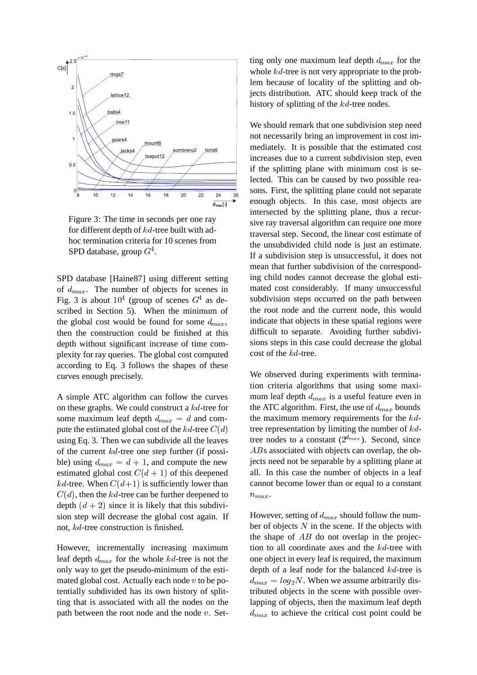

Figure 3: The time in seconds per one ray for different depth of kd-tree built with adhoc termination criteria for 10 scenes from SPD database, group  $G^4$ .

SPD database [Haine87] using different setting of  $d_{max}$ . The number of objects for scenes in Fig. 3 is about  $10^4$  (group of scenes  $G<sup>4</sup>$  as described in Section 5). When the minimum of the global cost would be found for some  $d_{max}$ , then the construction could be finished at this depth without significant increase of time complexity for ray queries. The global cost computed according to Eq. 3 follows the shapes of these curves enough precisely.

A simple ATC algorithm can follow the curves on these graphs. We could construct a kd-tree for some maximum leaf depth  $d_{max} = d$  and compute the estimated global cost of the  $kd$ -tree  $C(d)$ using Eq. 3. Then we can subdivide all the leaves of the current  $kd$ -tree one step further (if possible) using  $d_{max} = d + 1$ , and compute the new estimated global cost  $C(d + 1)$  of this deepened kd-tree. When  $C(d+1)$  is sufficiently lower than  $C(d)$ , then the kd-tree can be further deepened to depth  $(d + 2)$  since it is likely that this subdivision step will decrease the global cost again. If not, kd-tree construction is finished.

However, incrementally increasing maximum leaf depth  $d_{max}$  for the whole  $kd$ -tree is not the only way to get the pseudo-minimum of the estimated global cost. Actually each node  $v$  to be potentially subdivided has its own history of splitting that is associated with all the nodes on the path between the root node and the node  $v$ . Setting only one maximum leaf depth  $d_{max}$  for the whole *kd*-tree is not very appropriate to the problem because of locality of the splitting and objects distribution. ATC should keep track of the history of splitting of the kd-tree nodes.

We should remark that one subdivision step need not necessarily bring an improvement in cost immediately. It is possible that the estimated cost increases due to a current subdivision step, even if the splitting plane with minimum cost is selected. This can be caused by two possible reasons. First, the splitting plane could not separate enough objects. In this case, most objects are intersected by the splitting plane, thus a recursive ray traversal algorithm can require one more traversal step. Second, the linear cost estimate of the unsubdivided child node is just an estimate. If a subdivision step is unsuccessful, it does not mean that further subdivision of the corresponding child nodes cannot decrease the global estimated cost considerably. If many unsuccessful subdivision steps occurred on the path between the root node and the current node, this would indicate that objects in these spatial regions were difficult to separate. Avoiding further subdivisions steps in this case could decrease the global cost of the kd-tree.

We observed during experiments with termination criteria algorithms that using some maximum leaf depth  $d_{max}$  is a useful feature even in the ATC algorithm. First, the use of  $d_{max}$  bounds the maximum memory requirements for the kdtree representation by limiting the number of  $kd$ tree nodes to a constant  $(2^{d_{max}})$ . Second, since ABs associated with objects can overlap, the objects need not be separable by a splitting plane at all. In this case the number of objects in a leaf cannot become lower than or equal to a constant  $n_{max}$ .

However, setting of  $d_{max}$  should follow the number of objects  $N$  in the scene. If the objects with the shape of  $AB$  do not overlap in the projection to all coordinate axes and the kd-tree with one object in every leaf is required, the maximum depth of a leaf node for the balanced kd-tree is  $d_{max} = log_2 N$ . When we assume arbitrarily distributed objects in the scene with possible overlapping of objects, then the maximum leaf depth  $d_{max}$  to achieve the critical cost point could be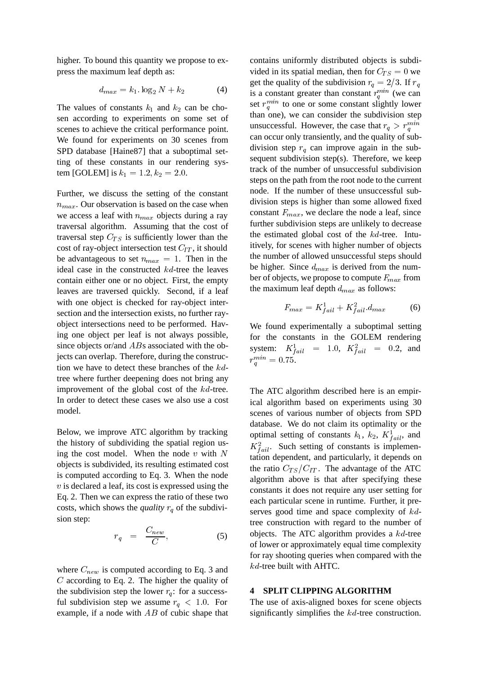higher. To bound this quantity we propose to express the maximum leaf depth as:

$$
d_{max} = k_1 \cdot \log_2 N + k_2 \tag{4}
$$

The values of constants  $k_1$  and  $k_2$  can be chosen according to experiments on some set of scenes to achieve the critical performance point. We found for experiments on 30 scenes from SPD database [Haine87] that a suboptimal setting of these constants in our rendering system [GOLEM] is  $k_1 = 1.2, k_2 = 2.0$ .

Further, we discuss the setting of the constant  $n_{max}$ . Our observation is based on the case when we access a leaf with  $n_{max}$  objects during a ray traversal algorithm. Assuming that the cost of traversal step  $C_{TS}$  is sufficiently lower than the cost of ray-object intersection test  $C_{IT}$ , it should be advantageous to set  $n_{max} = 1$ . Then in the ideal case in the constructed kd-tree the leaves contain either one or no object. First, the empty leaves are traversed quickly. Second, if a leaf with one object is checked for ray-object intersection and the intersection exists, no further rayobject intersections need to be performed. Having one object per leaf is not always possible, since objects or/and ABs associated with the objects can overlap. Therefore, during the construction we have to detect these branches of the kdtree where further deepening does not bring any improvement of the global cost of the kd-tree. In order to detect these cases we also use a cost model.

Below, we improve ATC algorithm by tracking the history of subdividing the spatial region using the cost model. When the node  $v$  with  $N$ objects is subdivided, its resulting estimated cost is computed according to Eq. 3. When the node  $v$  is declared a leaf, its cost is expressed using the Eq. 2. Then we can express the ratio of these two costs, which shows the *quality*  $r_q$  of the subdivision step:

$$
r_q = \frac{C_{new}}{C}, \tag{5}
$$

where  $C_{new}$  is computed according to Eq. 3 and C according to Eq. 2. The higher the quality of the subdivision step the lower  $r_q$ : for a successful subdivision step we assume  $r_q < 1.0$ . For example, if a node with  $AB$  of cubic shape that contains uniformly distributed objects is subdivided in its spatial median, then for  $C_{TS} = 0$  we get the quality of the subdivision  $r_q = 2/3$ . If  $r_q$ is a constant greater than constant  $r_a^{mn}$  (we can set  $r_q^{min}$  to one or some constant slightly lower than one), we can consider the subdivision step unsuccessful. However, the case that  $r_q > r_q^{min}$ can occur only transiently, and the quality of subdivision step  $r_q$  can improve again in the subsequent subdivision step(s). Therefore, we keep track of the number of unsuccessful subdivision steps on the path from the root node to the current node. If the number of these unsuccessful subdivision steps is higher than some allowed fixed constant  $F_{max}$ , we declare the node a leaf, since further subdivision steps are unlikely to decrease the estimated global cost of the kd-tree. Intuitively, for scenes with higher number of objects the number of allowed unsuccessful steps should be higher. Since  $d_{max}$  is derived from the number of objects, we propose to compute  $F_{max}$  from the maximum leaf depth  $d_{max}$  as follows:

$$
F_{max} = K_{fail}^1 + K_{fail}^2 d_{max} \tag{6}
$$

We found experimentally a suboptimal setting for the constants in the GOLEM rendering system:  $K_{fail}^1 = 1.0, K_{fail}^2 = 0.2, and$  $r_q^{min} = 0.75$ .

The ATC algorithm described here is an empirical algorithm based on experiments using 30 scenes of various number of objects from SPD database. We do not claim its optimality or the optimal setting of constants  $k_1$ ,  $k_2$ ,  $K_{fail}^1$ , and  $K_{fail}^2$ . Such setting of constants is implementation dependent, and particularly, it depends on the ratio  $C_{TS}/C_{IT}$ . The advantage of the ATC algorithm above is that after specifying these constants it does not require any user setting for each particular scene in runtime. Further, it preserves good time and space complexity of kdtree construction with regard to the number of objects. The ATC algorithm provides a kd-tree of lower or approximately equal time complexity for ray shooting queries when compared with the kd-tree built with AHTC.

## **4 SPLIT CLIPPING ALGORITHM**

The use of axis-aligned boxes for scene objects significantly simplifies the kd-tree construction.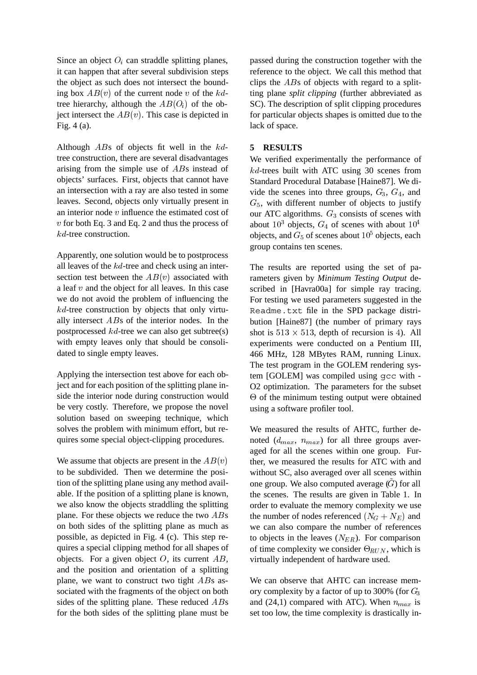Since an object  $O_i$  can straddle splitting planes, it can happen that after several subdivision steps the object as such does not intersect the bounding box  $AB(v)$  of the current node v of the kdtree hierarchy, although the  $AB(O<sub>i</sub>)$  of the object intersect the  $AB(v)$ . This case is depicted in Fig. 4 (a).

Although ABs of objects fit well in the kdtree construction, there are several disadvantages arising from the simple use of ABs instead of objects' surfaces. First, objects that cannot have an intersection with a ray are also tested in some leaves. Second, objects only virtually present in an interior node v influence the estimated cost of  $v$  for both Eq. 3 and Eq. 2 and thus the process of kd-tree construction.

Apparently, one solution would be to postprocess all leaves of the kd-tree and check using an intersection test between the  $AB(v)$  associated with a leaf  $v$  and the object for all leaves. In this case we do not avoid the problem of influencing the  $kd$ -tree construction by objects that only virtually intersect ABs of the interior nodes. In the postprocessed  $kd$ -tree we can also get subtree(s) with empty leaves only that should be consolidated to single empty leaves.

Applying the intersection test above for each object and for each position of the splitting plane inside the interior node during construction would be very costly. Therefore, we propose the novel solution based on sweeping technique, which solves the problem with minimum effort, but requires some special object-clipping procedures.

We assume that objects are present in the  $AB(v)$ to be subdivided. Then we determine the position of the splitting plane using any method available. If the position of a splitting plane is known, we also know the objects straddling the splitting plane. For these objects we reduce the two  $ABs$ on both sides of the splitting plane as much as possible, as depicted in Fig. 4 (c). This step requires a special clipping method for all shapes of objects. For a given object  $O$ , its current  $AB$ , and the position and orientation of a splitting plane, we want to construct two tight ABs associated with the fragments of the object on both sides of the splitting plane. These reduced ABs for the both sides of the splitting plane must be

passed during the construction together with the reference to the object. We call this method that clips the ABs of objects with regard to a splitting plane *split clipping* (further abbreviated as SC). The description of split clipping procedures for particular objects shapes is omitted due to the lack of space.

## **5 RESULTS**

We verified experimentally the performance of kd-trees built with ATC using 30 scenes from Standard Procedural Database [Haine87]. We divide the scenes into three groups,  $G_3$ ,  $G_4$ , and  $G<sub>5</sub>$ , with different number of objects to justify our ATC algorithms.  $G_3$  consists of scenes with about  $10^3$  objects,  $G_4$  of scenes with about  $10^4$ objects, and  $G_5$  of scenes about  $10^5$  objects, each group contains ten scenes.

The results are reported using the set of parameters given by *Minimum Testing Output* described in [Havra00a] for simple ray tracing. For testing we used parameters suggested in the Readme.txt file in the SPD package distribution [Haine87] (the number of primary rays shot is  $513 \times 513$ , depth of recursion is 4). All experiments were conducted on a Pentium III, 466 MHz, 128 MBytes RAM, running Linux. The test program in the GOLEM rendering system [GOLEM] was compiled using gcc with - O2 optimization. The parameters for the subset  $\Theta$  of the minimum testing output were obtained using a software profiler tool.

We measured the results of AHTC, further denoted  $(d_{max}, n_{max})$  for all three groups averaged for all the scenes within one group. Further, we measured the results for ATC with and without SC, also averaged over all scenes within one group. We also computed average  $(G)$  for all the scenes. The results are given in Table 1. In order to evaluate the memory complexity we use the number of nodes referenced  $(N_G + N_E)$  and we can also compare the number of references to objects in the leaves  $(N_{ER})$ . For comparison of time complexity we consider  $\Theta_{RUN}$ , which is virtually independent of hardware used.

We can observe that AHTC can increase memory complexity by a factor of up to 300% (for  $G_3$ ) and (24,1) compared with ATC). When  $n_{max}$  is set too low, the time complexity is drastically in-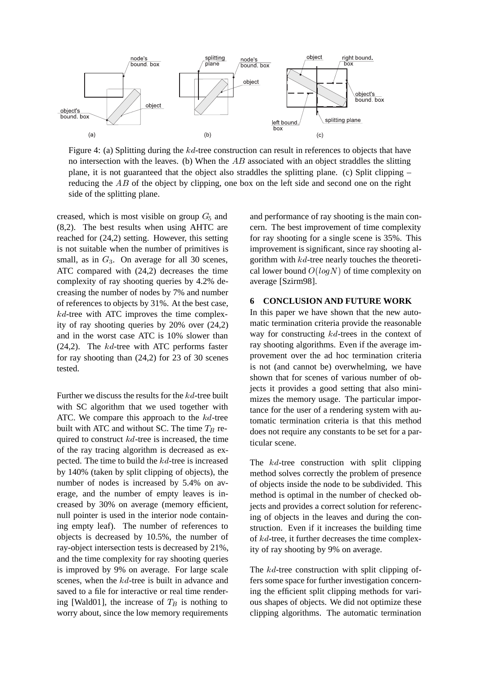

Figure 4: (a) Splitting during the kd-tree construction can result in references to objects that have no intersection with the leaves. (b) When the  $AB$  associated with an object straddles the slitting plane, it is not guaranteed that the object also straddles the splitting plane. (c) Split clipping  $$ reducing the  $AB$  of the object by clipping, one box on the left side and second one on the right side of the splitting plane.

creased, which is most visible on group  $G<sub>5</sub>$  and (8,2). The best results when using AHTC are reached for (24,2) setting. However, this setting is not suitable when the number of primitives is small, as in  $G_3$ . On average for all 30 scenes, ATC compared with (24,2) decreases the time complexity of ray shooting queries by 4.2% decreasing the number of nodes by 7% and number of references to objects by 31%. At the best case,  $kd$ -tree with ATC improves the time complexity of ray shooting queries by 20% over (24,2) and in the worst case ATC is 10% slower than  $(24,2)$ . The kd-tree with ATC performs faster for ray shooting than (24,2) for 23 of 30 scenes tested.

Further we discuss the results for the kd-tree built with SC algorithm that we used together with ATC. We compare this approach to the kd-tree built with ATC and without SC. The time  $T_B$  required to construct  $kd$ -tree is increased, the time of the ray tracing algorithm is decreased as expected. The time to build the kd-tree is increased by 140% (taken by split clipping of objects), the number of nodes is increased by 5.4% on average, and the number of empty leaves is increased by 30% on average (memory efficient, null pointer is used in the interior node containing empty leaf). The number of references to objects is decreased by 10.5%, the number of ray-object intersection tests is decreased by 21%, and the time complexity for ray shooting queries is improved by 9% on average. For large scale scenes, when the kd-tree is built in advance and saved to a file for interactive or real time rendering [Wald01], the increase of  $T_B$  is nothing to worry about, since the low memory requirements and performance of ray shooting is the main concern. The best improvement of time complexity for ray shooting for a single scene is 35%. This improvement is significant, since ray shooting algorithm with  $kd$ -tree nearly touches the theoretical lower bound  $O(logN)$  of time complexity on average [Szirm98].

## **6 CONCLUSION AND FUTURE WORK**

In this paper we have shown that the new automatic termination criteria provide the reasonable way for constructing kd-trees in the context of ray shooting algorithms. Even if the average improvement over the ad hoc termination criteria is not (and cannot be) overwhelming, we have shown that for scenes of various number of objects it provides a good setting that also minimizes the memory usage. The particular importance for the user of a rendering system with automatic termination criteria is that this method does not require any constants to be set for a particular scene.

The kd-tree construction with split clipping method solves correctly the problem of presence of objects inside the node to be subdivided. This method is optimal in the number of checked objects and provides a correct solution for referencing of objects in the leaves and during the construction. Even if it increases the building time of kd-tree, it further decreases the time complexity of ray shooting by 9% on average.

The kd-tree construction with split clipping offers some space for further investigation concerning the efficient split clipping methods for various shapes of objects. We did not optimize these clipping algorithms. The automatic termination